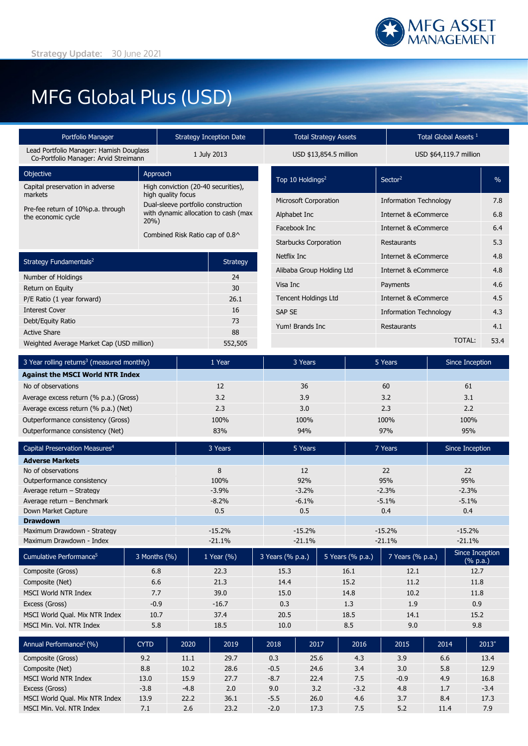

# MFG Global Plus (USD)

| Portfolio Manager                                                                |                | <b>Strategy Inception Date</b>     |                                      | <b>Total Strategy Assets</b> |                              |                  |                      | Total Global Assets <sup>1</sup> |                      |               |                      |  |
|----------------------------------------------------------------------------------|----------------|------------------------------------|--------------------------------------|------------------------------|------------------------------|------------------|----------------------|----------------------------------|----------------------|---------------|----------------------|--|
| Lead Portfolio Manager: Hamish Douglass<br>Co-Portfolio Manager: Arvid Streimann |                |                                    | 1 July 2013                          |                              | USD \$13,854.5 million       |                  |                      | USD \$64,119.7 million           |                      |               |                      |  |
| Objective                                                                        | Approach       |                                    |                                      |                              | Top 10 Holdings <sup>2</sup> |                  |                      | Sector <sup>2</sup>              |                      |               | $\%$                 |  |
| Capital preservation in adverse<br>markets                                       |                | high quality focus                 | High conviction (20-40 securities),  |                              |                              |                  |                      |                                  |                      |               |                      |  |
| Pre-fee return of 10%p.a. through                                                |                | Dual-sleeve portfolio construction |                                      | <b>Microsoft Corporation</b> |                              |                  |                      | <b>Information Technology</b>    |                      |               |                      |  |
| the economic cycle<br>20%                                                        |                |                                    | with dynamic allocation to cash (max |                              | Alphabet Inc                 |                  |                      | Internet & eCommerce             |                      |               | 6.8                  |  |
|                                                                                  |                |                                    | Combined Risk Ratio cap of 0.8^      |                              | Facebook Inc                 |                  | Internet & eCommerce |                                  |                      | 6.4           |                      |  |
|                                                                                  |                |                                    |                                      |                              | <b>Starbucks Corporation</b> |                  |                      | Restaurants                      |                      |               | 5.3                  |  |
| Strategy Fundamentals <sup>2</sup>                                               |                |                                    | <b>Strategy</b>                      |                              | Netflix Inc                  |                  |                      |                                  | Internet & eCommerce |               |                      |  |
|                                                                                  |                |                                    |                                      | Alibaba Group Holding Ltd    |                              |                  | Internet & eCommerce |                                  |                      | 4.8           |                      |  |
| Number of Holdings<br>Return on Equity                                           |                | 24                                 | Visa Inc<br>30                       |                              |                              |                  | Payments             |                                  |                      |               |                      |  |
| P/E Ratio (1 year forward)                                                       |                | 26.1                               | <b>Tencent Holdings Ltd</b>          |                              |                              |                  | Internet & eCommerce |                                  |                      |               |                      |  |
| <b>Interest Cover</b>                                                            |                |                                    | 16                                   | <b>SAP SE</b>                |                              |                  |                      | <b>Information Technology</b>    |                      |               |                      |  |
| Debt/Equity Ratio                                                                |                |                                    | 73                                   |                              | Yum! Brands Inc              |                  |                      | Restaurants                      |                      |               | 4.1                  |  |
| <b>Active Share</b>                                                              |                |                                    | 88                                   |                              |                              |                  |                      |                                  |                      | <b>TOTAL:</b> |                      |  |
| Weighted Average Market Cap (USD million)                                        |                |                                    | 552,505                              |                              |                              |                  |                      |                                  |                      |               | 53.4                 |  |
| 3 Year rolling returns <sup>3</sup> (measured monthly)                           |                |                                    | 1 Year                               |                              | 3 Years                      |                  |                      | 5 Years                          |                      |               | Since Inception      |  |
| <b>Against the MSCI World NTR Index</b>                                          |                |                                    |                                      |                              |                              |                  |                      |                                  |                      |               |                      |  |
| No of observations                                                               |                |                                    | 12                                   |                              | 36                           |                  | 60                   |                                  |                      | 61            |                      |  |
| Average excess return (% p.a.) (Gross)                                           |                |                                    | 3.2                                  |                              | 3.9                          |                  | 3.2                  |                                  |                      | 3.1           |                      |  |
| Average excess return (% p.a.) (Net)                                             |                |                                    | 2.3                                  |                              | 3.0<br>100%                  |                  | 2.3<br>100%          |                                  |                      | 2.2<br>100%   |                      |  |
| Outperformance consistency (Gross)<br>Outperformance consistency (Net)           |                |                                    | 100%<br>83%                          |                              | 94%                          |                  | 97%                  |                                  |                      | 95%           |                      |  |
|                                                                                  |                |                                    |                                      |                              |                              |                  |                      |                                  |                      |               |                      |  |
| Capital Preservation Measures <sup>4</sup>                                       |                |                                    | 3 Years                              |                              | 5 Years                      |                  |                      | 7 Years                          |                      |               | Since Inception      |  |
| <b>Adverse Markets</b><br>No of observations                                     |                |                                    | 8                                    |                              | 12                           |                  |                      | 22                               |                      |               |                      |  |
| Outperformance consistency                                                       |                |                                    | 100%                                 |                              | 92%                          |                  |                      | 95%                              |                      | 22<br>95%     |                      |  |
| Average return - Strategy                                                        |                |                                    | $-3.9%$                              |                              | $-3.2%$                      |                  |                      | $-2.3%$                          |                      | $-2.3%$       |                      |  |
| Average return - Benchmark                                                       |                |                                    | $-8.2%$                              |                              | $-6.1%$                      |                  |                      | $-5.1%$                          |                      | $-5.1%$       |                      |  |
| Down Market Capture                                                              |                |                                    | 0.5                                  |                              | 0.5                          |                  |                      | 0.4                              |                      | 0.4           |                      |  |
| <b>Drawdown</b>                                                                  |                |                                    |                                      |                              |                              |                  |                      |                                  |                      |               |                      |  |
| Maximum Drawdown - Strategy<br>Maximum Drawdown - Index                          |                |                                    | $-15.2%$<br>$-21.1%$                 |                              | $-15.2%$<br>$-21.1%$         |                  |                      | $-15.2%$<br>$-21.1%$             |                      |               | $-15.2%$<br>$-21.1%$ |  |
|                                                                                  |                |                                    |                                      |                              |                              |                  |                      |                                  |                      |               | Since Inception      |  |
| Cumulative Performance <sup>5</sup>                                              | 3 Months (%)   |                                    | 1 Year (%)                           | 3 Years (% p.a.)             |                              | 5 Years (% p.a.) |                      | 7 Years (% p.a.)                 |                      |               | (% p.a.)             |  |
| Composite (Gross)                                                                | 6.8            |                                    | 22.3                                 | 15.3                         |                              |                  | 16.1<br>12.1         |                                  | 12.7                 |               |                      |  |
| Composite (Net)                                                                  | 6.6            |                                    | 21.3                                 |                              | 14.4                         |                  | 15.2                 | 11.2                             |                      | 11.8          |                      |  |
| MSCI World NTR Index                                                             | 7.7            |                                    | 39.0                                 |                              | 15.0                         |                  | 14.8                 | 10.2                             |                      | 11.8          |                      |  |
| Excess (Gross)                                                                   | $-0.9$         |                                    | $-16.7$                              |                              | 0.3                          |                  | 1.3<br>1.9           |                                  | 0.9                  |               |                      |  |
| MSCI World Qual. Mix NTR Index                                                   | 10.7           |                                    | 37.4                                 |                              | 20.5                         |                  | 18.5<br>14.1<br>8.5  |                                  | 15.2                 |               |                      |  |
| MSCI Min. Vol. NTR Index                                                         | 5.8            |                                    | 18.5                                 | 10.0                         |                              |                  |                      | 9.0                              |                      | 9.8           |                      |  |
| Annual Performance <sup>5</sup> (%)                                              | <b>CYTD</b>    | 2020                               | 2019                                 | 2018                         | 2017                         |                  | 2016                 | 2015                             |                      | 2014          | $2013*$              |  |
| Composite (Gross)                                                                | 9.2            | 11.1                               | 29.7                                 | 0.3                          | 25.6                         |                  | 4.3                  | 3.9                              |                      | 6.6           | 13.4                 |  |
| Composite (Net)                                                                  | 8.8            | 10.2                               | 28.6                                 | $-0.5$                       | 24.6                         |                  | 3.4                  | 3.0                              |                      | 5.8           | 12.9                 |  |
| MSCI World NTR Index                                                             | 13.0           | 15.9                               | 27.7                                 | $-8.7$                       | 22.4                         |                  | 7.5                  | $-0.9$                           |                      | 4.9           | 16.8                 |  |
| Excess (Gross)<br>MSCI World Qual. Mix NTR Index                                 | $-3.8$<br>13.9 | $-4.8$<br>22.2                     | 2.0<br>36.1                          | 9.0<br>$-5.5$                | 3.2<br>26.0                  |                  | $-3.2$<br>4.6        | 4.8<br>3.7                       |                      | 1.7<br>8.4    | $-3.4$<br>17.3       |  |
| MSCI Min. Vol. NTR Index                                                         | 7.1            | 2.6                                | 23.2                                 | $-2.0$                       | 17.3                         |                  | 7.5                  | 5.2                              |                      | 11.4          | 7.9                  |  |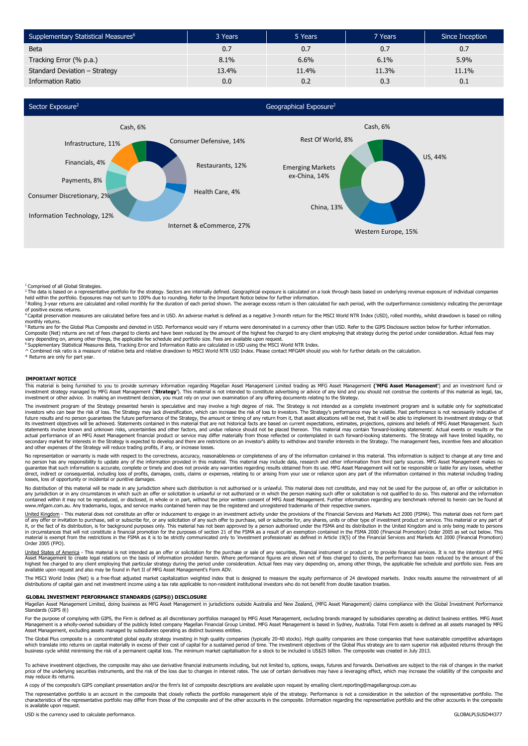| Supplementary Statistical Measures <sup>6</sup> | 3 Years | 5 Years | 7 Years | Since Inception |
|-------------------------------------------------|---------|---------|---------|-----------------|
| <b>Beta</b>                                     | 0.7     | 0.7     | 0.7     | 0.7             |
| Tracking Error (% p.a.)                         | 8.1%    | 6.6%    | 6.1%    | 5.9%            |
| Standard Deviation - Strategy                   | 13.4%   | 11.4%   | 11.3%   | 11.1%           |
| <b>Information Ratio</b>                        | 0.0     | 0.2     | 0.3     | 0.1             |



<sup>1</sup> Comprised of all Global Strategies.<br><sup>2</sup> The data is based on a representative portfolio for the strategy. Sectors are internally defined. Geographical exposure is calculated on a look through basis based on underlying

of positive excess returns.

<sup>4</sup> Capital preservation measures are calculated before fees and in USD. An adverse market is defined as a negative 3-month return for the MSCI World NTR Index (USD), rolled monthly, whilst drawdown is based on rolling

monthly returns.<br><sup>5</sup> Returns are for the Global Plus Composite and denoted in USD. Performance would vary if returns were denominated in a currency other than USD. Refer to the GIPS Disclosure section below for further inf Composite (Net) returns are net of fees charged to clients and have been reduced by the amount of the highest fee charged to any client employing that strategy during the period under consideration. Actual fees may<br>vary d

\* Returns are only for part year.

#### **IMPORTANT NOTICE**

This material is being furnished to you to provide summary information regarding Magellan Asset Management Limited trading as MFG Asset Management **('MFG Asset Management'**) and an investment fund or investment strategy managed by MFG Asset Management (**'Strategy'**). This material is not intended to constitute advertising or advice of any kind and you should not construe the contents of this material as legal, tax,<br>inv

The investment program of the Strategy presented herein is speculative and may involve a high degree of risk. The Strategy is not intended as a complete investment program and is suitable only for sophisticated investors who can bear the risk of loss. The Strategy may lack diversification, which can increase the risk of loss to investors. The Strategy's performance may be volatile. Past performance is not necessarily indicative o its investment objectives will be achieved. Statements contained in this material that are not historical facts are based on current expectations, estimates, projections, opinions and beliefs of MFG Asset Management. Such

No representation or warranty is made with respect to the correctness, accuracy, reasonableness or completeness of any of the information contained in this material. This information is subject to change at any time and no person has any responsibility to update any of the information provided in this material may indude ata, research and other information from third party sources. MFG Asset Management makes no<br>guarantee that such informa direct, indirect or consequential, induding loss of profits, damages, costs, claims or expenses, relating to or arising from your use or reliance upon any part of the information contained in this material including tradin

No distribution of this material will be made in any jurisdiction where such distribution is not authorised or is unlawful. This material does not constitute, and may not be used for the purpose of, an offer or solicitatio www.mfgam.com.au. Any trademarks, logos, and service marks contained herein may be the registered and unregistered trademarks of their respective owners.

United Kingdom - This material does not constitute an offer or inducement to engage in an investment activity under the provisions of the Financial Services and Markets Act 2000 (FSMA). This material does not form part of any offer or invitation to purchase, sell or subscribe for, or any solicitation of any such offer to purchase, sell or subscribe for, any shares, units or other type of investment product or service. This material or an Order 2005 (FPO).

d States of America - This material is not intended as an offer or solicitation for the purchase or sale of any securities, financial instrument or product or to provide financial services. It is not the intention of MFG Asset Management to create legal relations on the basis of information provided herein. Where performance figures are shown net of fees charged to clients, the performance has been reduced by the amount of the<br>highest fee

The MSCI World Index (Net) is a free-float adjusted market capitalization weighted index that is designed to measure the equity performance of 24 developed markets. Index results assume the reinvestment of all<br>distribution

### **GLOBAL INVESTMENT PERFORMANCE STANDARDS (GIPS®) DISCLOSURE**

Magellan Asset Management Limited, doing business as MFG Asset Management in jurisdictions outside Australia and New Zealand, (MFG Asset Management) claims compliance with the Global Investment Performance<br>Standards (GIPS

For the purpose of complying with GIPS, the Firm is defined as all discretionary portfolios managed by MFG Asset Management, excluding brands managed by subsidiaries operating as distinct business entities. MFG Asset<br>Manag Asset Management, excluding assets managed by subsidiaries operating as distinct business entities.

The Global Plus composite is a concentrated global equity strategy investing in high quality companies (typically 20-40 stocks). High quality companies are those companies that have sustainable competitive advantages<br>which business cycle whilst minimising the risk of a permanent capital loss. The minimum market capitalisation for a stock to be included is US\$25 billion. The composite was created in July 2013.

To achieve investment objectives, the composite may also use derivative financial instruments including, but not limited to, options, swaps, futures and forwards. Derivatives are subject to the risk of changes in the marke may reduce its returns.

A copy of the composite's GIPS compliant presentation and/or the firm's list of composite descriptions are available upon request by emailing client.reporting@magellangroup.com.au

The representative portfolio is an account in the composite that closely reflects the portfolio management style of the strategy. Performance is not a consideration in the selection of the representative portfolio. The characteristics of the representative portfolio may differ from those of the composite and of the other accounts in the composite. Information regarding the representative portfolio and the other accounts in the composite is available upon request.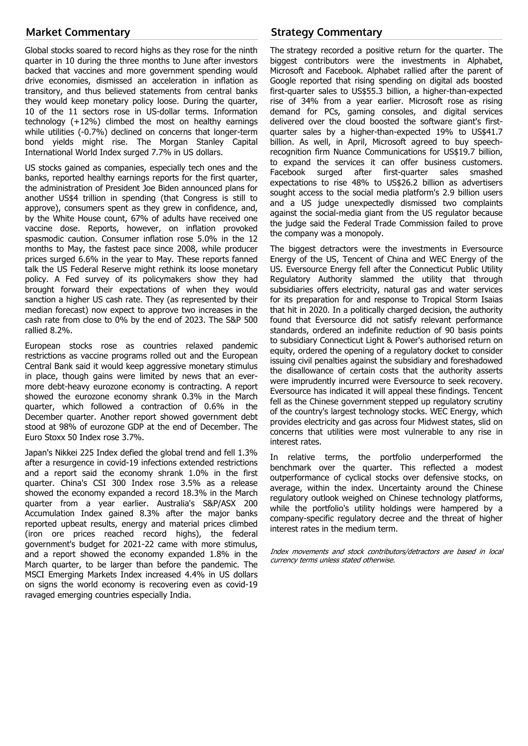# **Market Commentary**

Global stocks soared to record highs as they rose for the ninth quarter in 10 during the three months to June after investors backed that vaccines and more government spending would drive economies, dismissed an acceleration in inflation as transitory, and thus believed statements from central banks they would keep monetary policy loose. During the quarter, 10 of the 11 sectors rose in US-dollar terms. Information technology (+12%) climbed the most on healthy earnings while utilities (-0.7%) declined on concerns that longer-term bond yields might rise. The Morgan Stanley Capital International World Index surged 7.7% in US dollars.

US stocks gained as companies, especially tech ones and the banks, reported healthy earnings reports for the first quarter, the administration of President Joe Biden announced plans for another US\$4 trillion in spending (that Congress is still to approve), consumers spent as they grew in confidence, and, by the White House count, 67% of adults have received one vaccine dose. Reports, however, on inflation provoked spasmodic caution. Consumer inflation rose 5.0% in the 12 months to May, the fastest pace since 2008, while producer prices surged 6.6% in the year to May. These reports fanned talk the US Federal Reserve might rethink its loose monetary policy. A Fed survey of its policymakers show they had brought forward their expectations of when they would sanction a higher US cash rate. They (as represented by their median forecast) now expect to approve two increases in the cash rate from close to 0% by the end of 2023. The S&P 500 rallied 8.2%.

European stocks rose as countries relaxed pandemic restrictions as vaccine programs rolled out and the European Central Bank said it would keep aggressive monetary stimulus in place, though gains were limited by news that an evermore debt-heavy eurozone economy is contracting. A report showed the eurozone economy shrank 0.3% in the March quarter, which followed a contraction of 0.6% in the December quarter. Another report showed government debt stood at 98% of eurozone GDP at the end of December. The Euro Stoxx 50 Index rose 3.7%.

Japan's Nikkei 225 Index defied the global trend and fell 1.3% after a resurgence in covid-19 infections extended restrictions and a report said the economy shrank 1.0% in the first quarter. China's CSI 300 Index rose 3.5% as a release showed the economy expanded a record 18.3% in the March quarter from a year earlier. Australia's S&P/ASX 200 Accumulation Index gained 8.3% after the major banks reported upbeat results, energy and material prices climbed (iron ore prices reached record highs), the federal government's budget for 2021-22 came with more stimulus, and a report showed the economy expanded 1.8% in the March quarter, to be larger than before the pandemic. The MSCI Emerging Markets Index increased 4.4% in US dollars on signs the world economy is recovering even as covid-19 ravaged emerging countries especially India.

# **Strategy Commentary**

The strategy recorded a positive return for the quarter. The biggest contributors were the investments in Alphabet, Microsoft and Facebook. Alphabet rallied after the parent of Google reported that rising spending on digital ads boosted first-quarter sales to US\$55.3 billion, a higher-than-expected rise of 34% from a year earlier. Microsoft rose as rising demand for PCs, gaming consoles, and digital services delivered over the cloud boosted the software giant's firstquarter sales by a higher-than-expected 19% to US\$41.7 billion. As well, in April, Microsoft agreed to buy speechrecognition firm Nuance Communications for US\$19.7 billion, to expand the services it can offer business customers. Facebook surged after first-quarter sales smashed expectations to rise 48% to US\$26.2 billion as advertisers sought access to the social media platform's 2.9 billion users and a US judge unexpectedly dismissed two complaints against the social-media giant from the US regulator because the judge said the Federal Trade Commission failed to prove the company was a monopoly.

The biggest detractors were the investments in Eversource Energy of the US, Tencent of China and WEC Energy of the US. Eversource Energy fell after the Connecticut Public Utility Regulatory Authority slammed the utility that through subsidiaries offers electricity, natural gas and water services for its preparation for and response to Tropical Storm Isaias that hit in 2020. In a politically charged decision, the authority found that Eversource did not satisfy relevant performance standards, ordered an indefinite reduction of 90 basis points to subsidiary Connecticut Light & Power's authorised return on equity, ordered the opening of a regulatory docket to consider issuing civil penalties against the subsidiary and foreshadowed the disallowance of certain costs that the authority asserts were imprudently incurred were Eversource to seek recovery. Eversource has indicated it will appeal these findings. Tencent fell as the Chinese government stepped up regulatory scrutiny of the country's largest technology stocks. WEC Energy, which provides electricity and gas across four Midwest states, slid on concerns that utilities were most vulnerable to any rise in interest rates.

In relative terms, the portfolio underperformed the benchmark over the quarter. This reflected a modest outperformance of cyclical stocks over defensive stocks, on average, within the index. Uncertainty around the Chinese regulatory outlook weighed on Chinese technology platforms, while the portfolio's utility holdings were hampered by a company-specific regulatory decree and the threat of higher interest rates in the medium term.

Index movements and stock contributors/detractors are based in local currency terms unless stated otherwise.